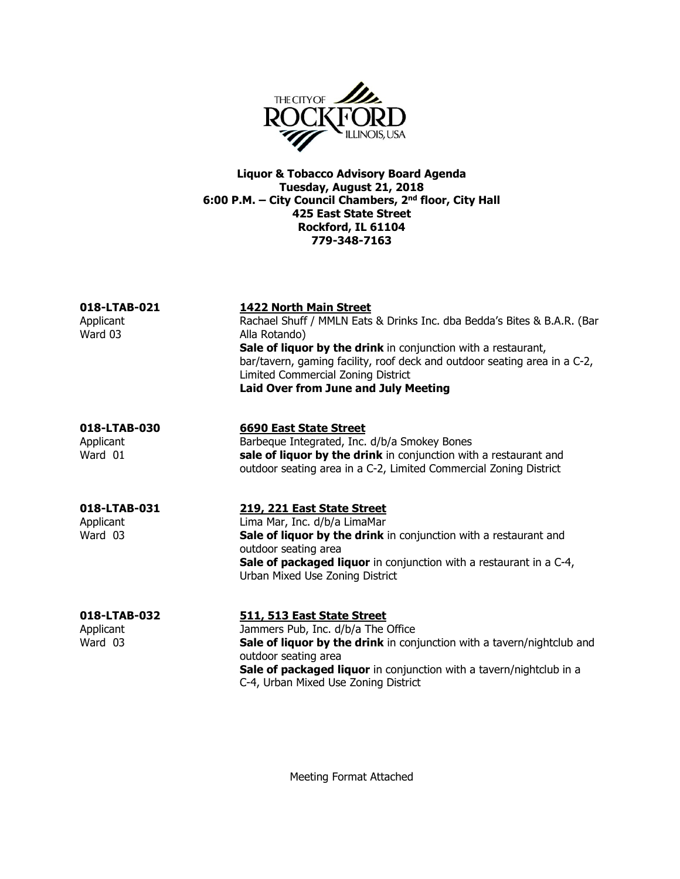

Liquor & Tobacco Advisory Board Agenda Tuesday, August 21, 2018 6:00 P.M. – City Council Chambers, 2nd floor, City Hall 425 East State Street Rockford, IL 61104 779-348-7163

018-LTAB-021 1422 North Main Street Applicant **Rachael Shuff / MMLN Eats & Drinks Inc. dba Bedda's Bites & B.A.R. (Bar** Ward 03 Alla Rotando) Sale of liquor by the drink in conjunction with a restaurant, bar/tavern, gaming facility, roof deck and outdoor seating area in a C-2, Limited Commercial Zoning District Laid Over from June and July Meeting

018-LTAB-030 6690 East State Street Applicant **Barbeque Integrated, Inc. d/b/a Smokey Bones**<br>Ward 01 **Sale of liquor by the drink** in conjunction with sale of liquor by the drink in conjunction with a restaurant and outdoor seating area in a C-2, Limited Commercial Zoning District

018-LTAB-031 219, 221 East State Street Applicant Lima Mar, Inc. d/b/a LimaMar Ward 03 Sale of liquor by the drink in conjunction with a restaurant and outdoor seating area Sale of packaged liquor in conjunction with a restaurant in a C-4, Urban Mixed Use Zoning District

018-LTAB-032 511, 513 East State Street Applicant Jammers Pub, Inc. d/b/a The Office Ward 03 Sale of liquor by the drink in conjunction with a tavern/nightclub and outdoor seating area Sale of packaged liquor in conjunction with a tavern/nightclub in a C-4, Urban Mixed Use Zoning District

Meeting Format Attached